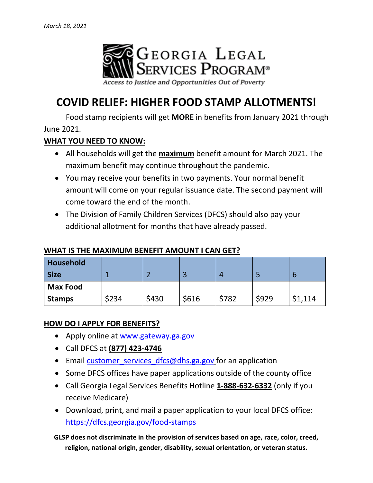

# **COVID RELIEF: HIGHER FOOD STAMP ALLOTMENTS!**

Food stamp recipients will get **MORE** in benefits from January 2021 through June 2021.

### **WHAT YOU NEED TO KNOW:**

- All households will get the **maximum** benefit amount for March 2021. The maximum benefit may continue throughout the pandemic.
- You may receive your benefits in two payments. Your normal benefit amount will come on your regular issuance date. The second payment will come toward the end of the month.
- The Division of Family Children Services (DFCS) should also pay your additional allotment for months that have already passed.

### **WHAT IS THE MAXIMUM BENEFIT AMOUNT I CAN GET?**

| Household<br><b>Size</b> |       |       | ว<br>æ |       |       | b       |
|--------------------------|-------|-------|--------|-------|-------|---------|
| <b>Max Food</b>          |       |       |        |       |       |         |
| <b>Stamps</b>            | \$234 | \$430 | \$616  | \$782 | \$929 | \$1,114 |

## **HOW DO I APPLY FOR BENEFITS?**

- Apply online at [www.gateway.ga.gov](http://www.gateway.ga.gov/)
- Call DFCS at **(877) 423-4746**
- Email customer services dfcs@dhs.ga.gov for an application
- Some DFCS offices have paper applications outside of the county office
- Call Georgia Legal Services Benefits Hotline **1-888-632-6332** (only if you receive Medicare)
- Download, print, and mail a paper application to your local DFCS office: <https://dfcs.georgia.gov/food-stamps>

**GLSP does not discriminate in the provision of services based on age, race, color, creed, religion, national origin, gender, disability, sexual orientation, or veteran status.**